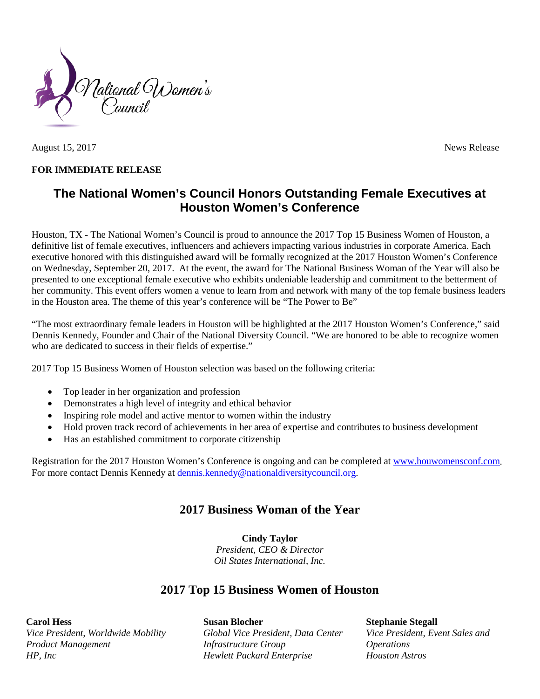

August 15, 2017 News Release

#### **FOR IMMEDIATE RELEASE**

# **The National Women's Council Honors Outstanding Female Executives at Houston Women's Conference**

Houston, TX - The National Women's Council is proud to announce the 2017 Top 15 Business Women of Houston, a definitive list of female executives, influencers and achievers impacting various industries in corporate America. Each executive honored with this distinguished award will be formally recognized at the 2017 Houston Women's Conference on Wednesday, September 20, 2017. At the event, the award for The National Business Woman of the Year will also be presented to one exceptional female executive who exhibits undeniable leadership and commitment to the betterment of her community. This event offers women a venue to learn from and network with many of the top female business leaders in the Houston area. The theme of this year's conference will be "The Power to Be"

"The most extraordinary female leaders in Houston will be highlighted at the 2017 Houston Women's Conference," said Dennis Kennedy, Founder and Chair of the National Diversity Council. "We are honored to be able to recognize women who are dedicated to success in their fields of expertise."

2017 Top 15 Business Women of Houston selection was based on the following criteria:

- Top leader in her organization and profession
- Demonstrates a high level of integrity and ethical behavior
- Inspiring role model and active mentor to women within the industry
- Hold proven track record of achievements in her area of expertise and contributes to business development
- Has an established commitment to corporate citizenship

Registration for the 2017 Houston Women's Conference is ongoing and can be completed at [www.houwomensconf.com.](http://houstonwomenconference.com/2017/) For more contact Dennis Kennedy at [dennis.kennedy@nationaldiversitycouncil.org.](mailto:dennis.kennedy@nationaldiversitycouncil.org)

### **2017 Business Woman of the Year**

**Cindy Taylor** *President, CEO & Director Oil States International, Inc.* 

### **2017 Top 15 Business Women of Houston**

**Carol Hess**

*Vice President, Worldwide Mobility Product Management HP, Inc*

**Susan Blocher** *Global Vice President, Data Center Infrastructure Group Hewlett Packard Enterprise*

**Stephanie Stegall** *Vice President, Event Sales and Operations Houston Astros*